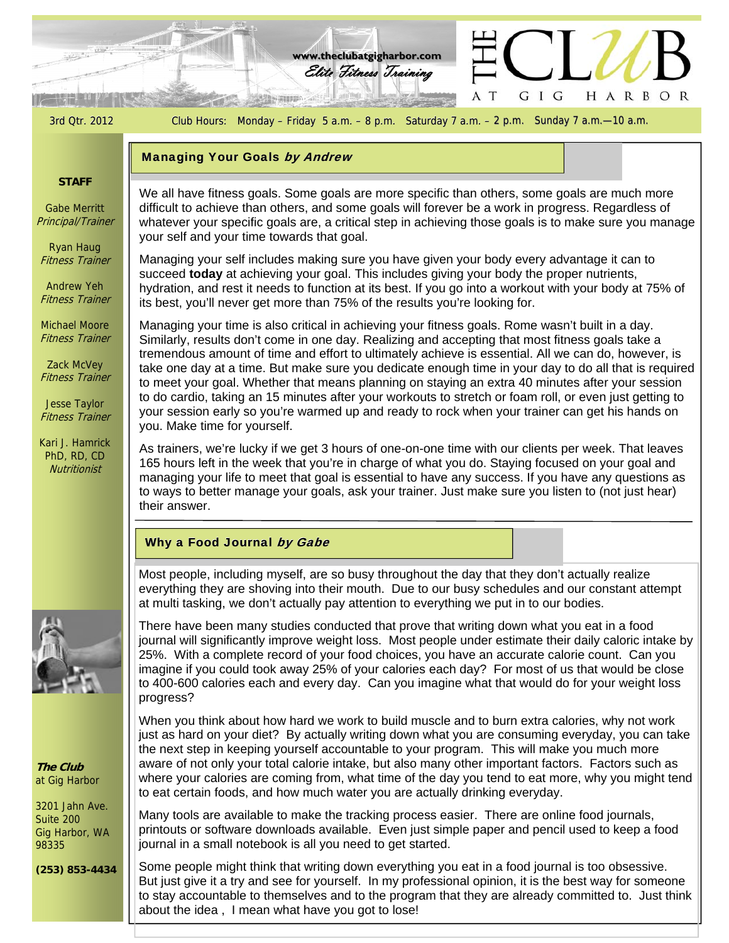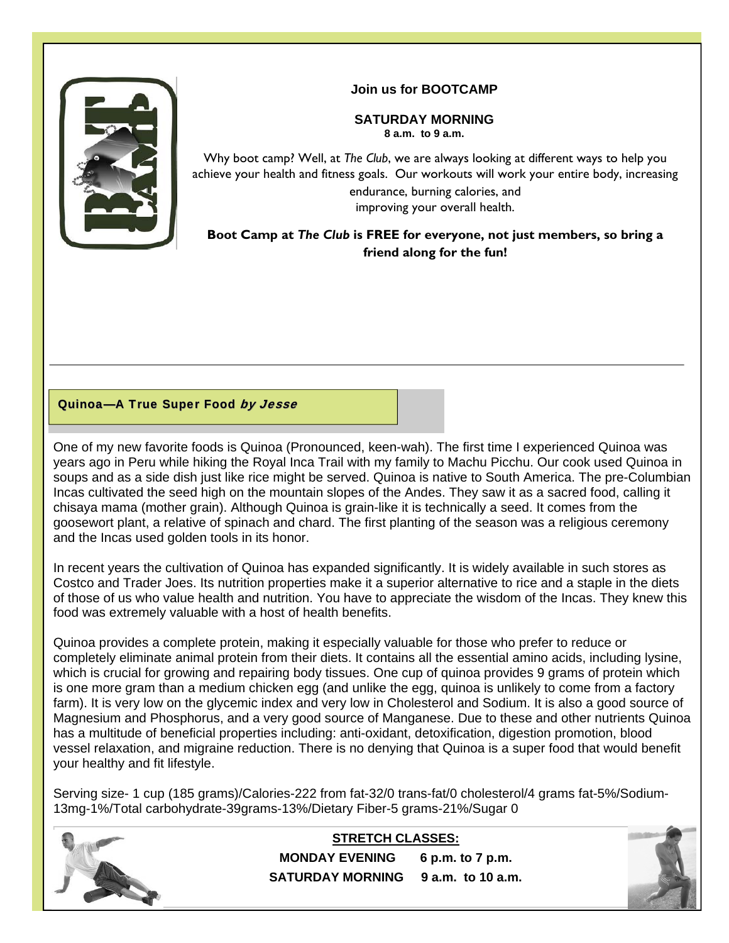

### **Join us for BOOTCAMP**

## **SATURDAY MORNING**

**8 a.m. to 9 a.m.** 

Why boot camp? Well, at *The Club*, we are always looking at different ways to help you achieve your health and fitness goals. Our workouts will work your entire body, increasing endurance, burning calories, and improving your overall health.

## **Boot Camp at** *The Club* **is FREE for everyone, not just members, so bring a friend along for the fun!**

### Quinoa-A True Super Food by Jesse

One of my new favorite foods is Quinoa (Pronounced, keen-wah). The first time I experienced Quinoa was years ago in Peru while hiking the Royal Inca Trail with my family to Machu Picchu. Our cook used Quinoa in soups and as a side dish just like rice might be served. Quinoa is native to South America. The pre-Columbian Incas cultivated the seed high on the mountain slopes of the Andes. They saw it as a sacred food, calling it chisaya mama (mother grain). Although Quinoa is grain-like it is technically a seed. It comes from the goosewort plant, a relative of spinach and chard. The first planting of the season was a religious ceremony and the Incas used golden tools in its honor.

In recent years the cultivation of Quinoa has expanded significantly. It is widely available in such stores as Costco and Trader Joes. Its nutrition properties make it a superior alternative to rice and a staple in the diets of those of us who value health and nutrition. You have to appreciate the wisdom of the Incas. They knew this food was extremely valuable with a host of health benefits.

Quinoa provides a complete protein, making it especially valuable for those who prefer to reduce or completely eliminate animal protein from their diets. It contains all the essential amino acids, including lysine, which is crucial for growing and repairing body tissues. One cup of quinoa provides 9 grams of protein which is one more gram than a medium chicken egg (and unlike the egg, quinoa is unlikely to come from a factory farm). It is very low on the glycemic index and very low in Cholesterol and Sodium. It is also a good source of Magnesium and Phosphorus, and a very good source of Manganese. Due to these and other nutrients Quinoa has a multitude of beneficial properties including: anti-oxidant, detoxification, digestion promotion, blood vessel relaxation, and migraine reduction. There is no denying that Quinoa is a super food that would benefit your healthy and fit lifestyle.

Serving size- 1 cup (185 grams)/Calories-222 from fat-32/0 trans-fat/0 cholesterol/4 grams fat-5%/Sodium-13mg-1%/Total carbohydrate-39grams-13%/Dietary Fiber-5 grams-21%/Sugar 0



**STRETCH CLASSES: MONDAY EVENING 6 p.m. to 7 p.m. SATURDAY MORNING 9 a.m. to 10 a.m.** 

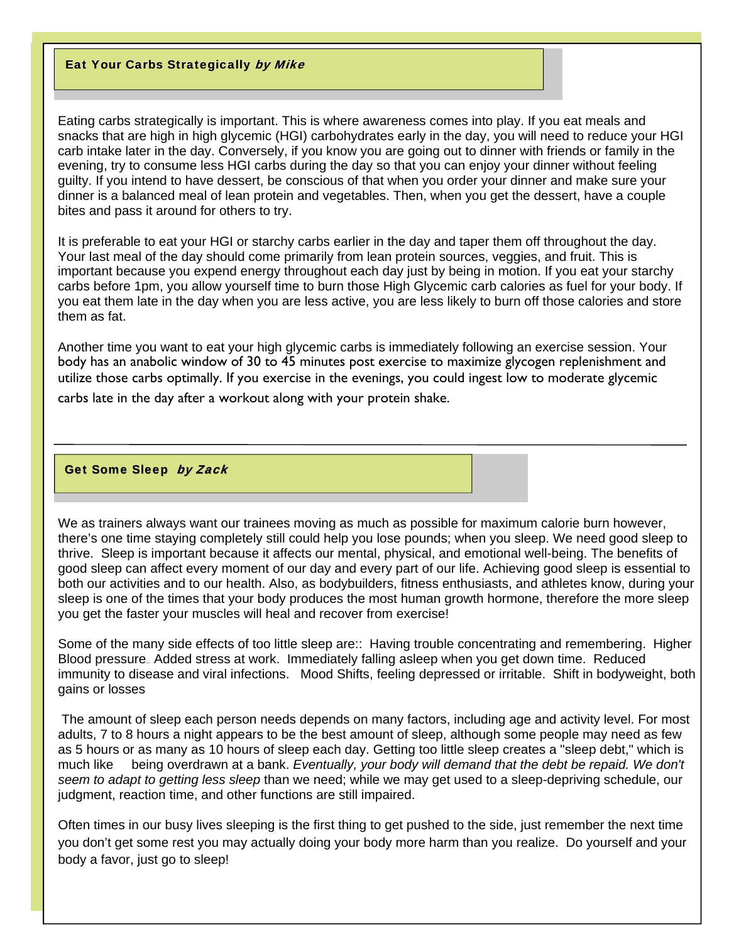#### Eat Your Carbs Strategically by Mike

Eating carbs strategically is important. This is where awareness comes into play. If you eat meals and snacks that are high in high glycemic (HGI) carbohydrates early in the day, you will need to reduce your HGI carb intake later in the day. Conversely, if you know you are going out to dinner with friends or family in the evening, try to consume less HGI carbs during the day so that you can enjoy your dinner without feeling guilty. If you intend to have dessert, be conscious of that when you order your dinner and make sure your dinner is a balanced meal of lean protein and vegetables. Then, when you get the dessert, have a couple bites and pass it around for others to try.

It is preferable to eat your HGI or starchy carbs earlier in the day and taper them off throughout the day. Your last meal of the day should come primarily from lean protein sources, veggies, and fruit. This is important because you expend energy throughout each day just by being in motion. If you eat your starchy carbs before 1pm, you allow yourself time to burn those High Glycemic carb calories as fuel for your body. If you eat them late in the day when you are less active, you are less likely to burn off those calories and store them as fat.

Another time you want to eat your high glycemic carbs is immediately following an exercise session. Your body has an anabolic window of 30 to 45 minutes post exercise to maximize glycogen replenishment and utilize those carbs optimally. If you exercise in the evenings, you could ingest low to moderate glycemic carbs late in the day after a workout along with your protein shake.

#### Get Some Sleep by Zack

We as trainers always want our trainees moving as much as possible for maximum calorie burn however, there's one time staying completely still could help you lose pounds; when you sleep. We need good sleep to thrive. Sleep is important because it affects our mental, physical, and emotional well-being. The benefits of good sleep can affect every moment of our day and every part of our life. Achieving good sleep is essential to both our activities and to our health. Also, as bodybuilders, fitness enthusiasts, and athletes know, during your sleep is one of the times that your body produces the most human growth hormone, therefore the more sleep you get the faster your muscles will heal and recover from exercise!

Some of the many side effects of too little sleep are:: Having trouble concentrating and remembering. Higher Blood pressure.. Added stress at work. Immediately falling asleep when you get down time. Reduced immunity to disease and viral infections. Mood Shifts, feeling depressed or irritable. Shift in bodyweight, both gains or losses

 The amount of sleep each person needs depends on many factors, including age and activity level. For most adults, 7 to 8 hours a night appears to be the best amount of sleep, although some people may need as few as 5 hours or as many as 10 hours of sleep each day. Getting too little sleep creates a "sleep debt," which is much like being overdrawn at a bank. *Eventually, your body will demand that the debt be repaid. We don't seem to adapt to getting less sleep* than we need; while we may get used to a sleep-depriving schedule, our judgment, reaction time, and other functions are still impaired.

Often times in our busy lives sleeping is the first thing to get pushed to the side, just remember the next time you don't get some rest you may actually doing your body more harm than you realize. Do yourself and your body a favor, just go to sleep!